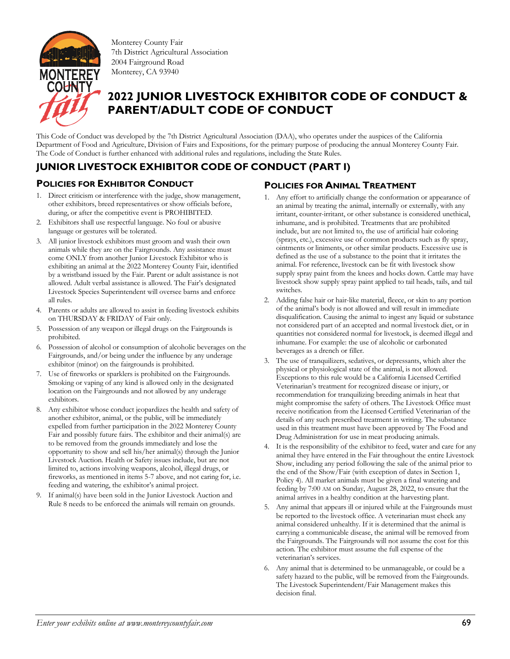

Monterey County Fair 7th District Agricultural Association 2004 Fairground Road Monterey, CA 93940

# **2022 JUNIOR LIVESTOCK EXHIBITOR CODE OF CONDUCT & PARENT/ADULT CODE OF CONDUCT**

This Code of Conduct was developed by the 7th District Agricultural Association (DAA), who operates under the auspices of the California Department of Food and Agriculture, Division of Fairs and Expositions, for the primary purpose of producing the annual Monterey County Fair. The Code of Conduct is further enhanced with additional rules and regulations, including the State Rules.

### **JUNIOR LIVESTOCK EXHIBITOR CODE OF CONDUCT (PART I)**

#### **POLICIES FOR EXHIBITOR CONDUCT**

- 1. Direct criticism or interference with the judge, show management, other exhibitors, breed representatives or show officials before, during, or after the competitive event is PROHIBITED.
- 2. Exhibitors shall use respectful language. No foul or abusive language or gestures will be tolerated.
- 3. All junior livestock exhibitors must groom and wash their own animals while they are on the Fairgrounds. Any assistance must come ONLY from another Junior Livestock Exhibitor who is exhibiting an animal at the 2022 Monterey County Fair, identified by a wristband issued by the Fair. Parent or adult assistance is not allowed. Adult verbal assistance is allowed. The Fair's designated Livestock Species Superintendent will oversee barns and enforce all rules.
- 4. Parents or adults are allowed to assist in feeding livestock exhibits on THURSDAY & FRIDAY of Fair only.
- Possession of any weapon or illegal drugs on the Fairgrounds is prohibited.
- 6. Possession of alcohol or consumption of alcoholic beverages on the Fairgrounds, and/or being under the influence by any underage exhibitor (minor) on the fairgrounds is prohibited.
- 7. Use of fireworks or sparklers is prohibited on the Fairgrounds. Smoking or vaping of any kind is allowed only in the designated location on the Fairgrounds and not allowed by any underage exhibitors.
- 8. Any exhibitor whose conduct jeopardizes the health and safety of another exhibitor, animal, or the public, will be immediately expelled from further participation in the 2022 Monterey County Fair and possibly future fairs. The exhibitor and their animal(s) are to be removed from the grounds immediately and lose the opportunity to show and sell his/her animal(s) through the Junior Livestock Auction. Health or Safety issues include, but are not limited to, actions involving weapons, alcohol, illegal drugs, or fireworks, as mentioned in items 5-7 above, and not caring for, i.e. feeding and watering, the exhibitor's animal project.
- 9. If animal(s) have been sold in the Junior Livestock Auction and Rule 8 needs to be enforced the animals will remain on grounds.

#### **POLICIES FOR ANIMAL TREATMENT**

- 1. Any effort to artificially change the conformation or appearance of an animal by treating the animal, internally or externally, with any irritant, counter-irritant, or other substance is considered unethical, inhumane, and is prohibited. Treatments that are prohibited include, but are not limited to, the use of artificial hair coloring (sprays, etc.), excessive use of common products such as fly spray, ointments or liniments, or other similar products. Excessive use is defined as the use of a substance to the point that it irritates the animal. For reference, livestock can be fit with livestock show supply spray paint from the knees and hocks down. Cattle may have livestock show supply spray paint applied to tail heads, tails, and tail switches.
- 2. Adding false hair or hair-like material, fleece, or skin to any portion of the animal's body is not allowed and will result in immediate disqualification. Causing the animal to ingest any liquid or substance not considered part of an accepted and normal livestock diet, or in quantities not considered normal for livestock, is deemed illegal and inhumane. For example: the use of alcoholic or carbonated beverages as a drench or filler.
- 3. The use of tranquilizers, sedatives, or depressants, which alter the physical or physiological state of the animal, is not allowed. Exceptions to this rule would be a California Licensed Certified Veterinarian's treatment for recognized disease or injury, or recommendation for tranquilizing breeding animals in heat that might compromise the safety of others. The Livestock Office must receive notification from the Licensed Certified Veterinarian of the details of any such prescribed treatment in writing. The substance used in this treatment must have been approved by The Food and Drug Administration for use in meat producing animals.
- It is the responsibility of the exhibitor to feed, water and care for any animal they have entered in the Fair throughout the entire Livestock Show, including any period following the sale of the animal prior to the end of the Show/Fair (with exception of dates in Section 1, Policy 4). All market animals must be given a final watering and feeding by 7:00 AM on Sunday, August 28, 2022, to ensure that the animal arrives in a healthy condition at the harvesting plant.
- 5. Any animal that appears ill or injured while at the Fairgrounds must be reported to the livestock office. A veterinarian must check any animal considered unhealthy. If it is determined that the animal is carrying a communicable disease, the animal will be removed from the Fairgrounds. The Fairgrounds will not assume the cost for this action. The exhibitor must assume the full expense of the veterinarian's services.
- 6. Any animal that is determined to be unmanageable, or could be a safety hazard to the public, will be removed from the Fairgrounds. The Livestock Superintendent/Fair Management makes this decision final.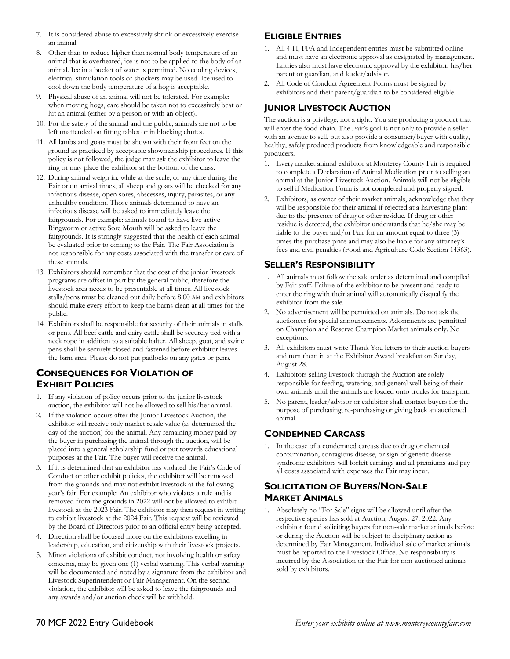- 7. It is considered abuse to excessively shrink or excessively exercise an animal.
- 8. Other than to reduce higher than normal body temperature of an animal that is overheated, ice is not to be applied to the body of an animal. Ice in a bucket of water is permitted. No cooling devices, electrical stimulation tools or shockers may be used. Ice used to cool down the body temperature of a hog is acceptable.
- 9. Physical abuse of an animal will not be tolerated. For example: when moving hogs, care should be taken not to excessively beat or hit an animal (either by a person or with an object).
- 10. For the safety of the animal and the public, animals are not to be left unattended on fitting tables or in blocking chutes.
- 11. All lambs and goats must be shown with their front feet on the ground as practiced by acceptable showmanship procedures. If this policy is not followed, the judge may ask the exhibitor to leave the ring or may place the exhibitor at the bottom of the class.
- 12. During animal weigh-in, while at the scale, or any time during the Fair or on arrival times, all sheep and goats will be checked for any infectious disease, open sores, abscesses, injury, parasites, or any unhealthy condition. Those animals determined to have an infectious disease will be asked to immediately leave the fairgrounds. For example: animals found to have live active Ringworm or active Sore Mouth will be asked to leave the fairgrounds. It is strongly suggested that the health of each animal be evaluated prior to coming to the Fair. The Fair Association is not responsible for any costs associated with the transfer or care of these animals.
- 13. Exhibitors should remember that the cost of the junior livestock programs are offset in part by the general public, therefore the livestock area needs to be presentable at all times. All livestock stalls/pens must be cleaned out daily before 8:00 AM and exhibitors should make every effort to keep the barns clean at all times for the public.
- 14. Exhibitors shall be responsible for security of their animals in stalls or pens. All beef cattle and dairy cattle shall be securely tied with a neck rope in addition to a suitable halter. All sheep, goat, and swine pens shall be securely closed and fastened before exhibitor leaves the barn area. Please do not put padlocks on any gates or pens.

#### **CONSEQUENCES FOR VIOLATION OF EXHIBIT POLICIES**

- 1. If any violation of policy occurs prior to the junior livestock auction, the exhibitor will not be allowed to sell his/her animal.
- 2. If the violation occurs after the Junior Livestock Auction, the exhibitor will receive only market resale value (as determined the day of the auction) for the animal. Any remaining money paid by the buyer in purchasing the animal through the auction, will be placed into a general scholarship fund or put towards educational purposes at the Fair. The buyer will receive the animal.
- 3. If it is determined that an exhibitor has violated the Fair's Code of Conduct or other exhibit policies, the exhibitor will be removed from the grounds and may not exhibit livestock at the following year's fair. For example: An exhibitor who violates a rule and is removed from the grounds in 2022 will not be allowed to exhibit livestock at the 2023 Fair. The exhibitor may then request in writing to exhibit livestock at the 2024 Fair. This request will be reviewed by the Board of Directors prior to an official entry being accepted.
- 4. Direction shall be focused more on the exhibitors excelling in leadership, education, and citizenship with their livestock projects.
- 5. Minor violations of exhibit conduct, not involving health or safety concerns, may be given one (1) verbal warning. This verbal warning will be documented and noted by a signature from the exhibitor and Livestock Superintendent or Fair Management. On the second violation, the exhibitor will be asked to leave the fairgrounds and any awards and/or auction check will be withheld.

### **ELIGIBLE ENTRIES**

- 1. All 4-H, FFA and Independent entries must be submitted online and must have an electronic approval as designated by management. Entries also must have electronic approval by the exhibitor, his/her parent or guardian, and leader/advisor.
- 2. All Code of Conduct Agreement Forms must be signed by exhibitors and their parent/guardian to be considered eligible.

### **JUNIOR LIVESTOCK AUCTION**

The auction is a privilege, not a right. You are producing a product that will enter the food chain. The Fair's goal is not only to provide a seller with an avenue to sell, but also provide a consumer/buyer with quality, healthy, safely produced products from knowledgeable and responsible producers.

- 1. Every market animal exhibitor at Monterey County Fair is required to complete a Declaration of Animal Medication prior to selling an animal at the Junior Livestock Auction. Animals will not be eligible to sell if Medication Form is not completed and properly signed.
- 2. Exhibitors, as owner of their market animals, acknowledge that they will be responsible for their animal if rejected at a harvesting plant due to the presence of drug or other residue. If drug or other residue is detected, the exhibitor understands that he/she may be liable to the buyer and/or Fair for an amount equal to three (3) times the purchase price and may also be liable for any attorney's fees and civil penalties (Food and Agriculture Code Section 14363).

#### **SELLER'S RESPONSIBILITY**

- 1. All animals must follow the sale order as determined and compiled by Fair staff. Failure of the exhibitor to be present and ready to enter the ring with their animal will automatically disqualify the exhibitor from the sale.
- 2. No advertisement will be permitted on animals. Do not ask the auctioneer for special announcements. Adornments are permitted on Champion and Reserve Champion Market animals only. No exceptions.
- 3. All exhibitors must write Thank You letters to their auction buyers and turn them in at the Exhibitor Award breakfast on Sunday, August 28.
- 4. Exhibitors selling livestock through the Auction are solely responsible for feeding, watering, and general well-being of their own animals until the animals are loaded onto trucks for transport.
- 5. No parent, leader/advisor or exhibitor shall contact buyers for the purpose of purchasing, re-purchasing or giving back an auctioned animal.

#### **CONDEMNED CARCASS**

1. In the case of a condemned carcass due to drug or chemical contamination, contagious disease, or sign of genetic disease syndrome exhibitors will forfeit earnings and all premiums and pay all costs associated with expenses the Fair may incur.

### **SOLICITATION OF BUYERS/NON-SALE MARKET ANIMALS**

1. Absolutely no "For Sale" signs will be allowed until after the respective species has sold at Auction, August 27, 2022. Any exhibitor found soliciting buyers for non-sale market animals before or during the Auction will be subject to disciplinary action as determined by Fair Management. Individual sale of market animals must be reported to the Livestock Office. No responsibility is incurred by the Association or the Fair for non-auctioned animals sold by exhibitors.